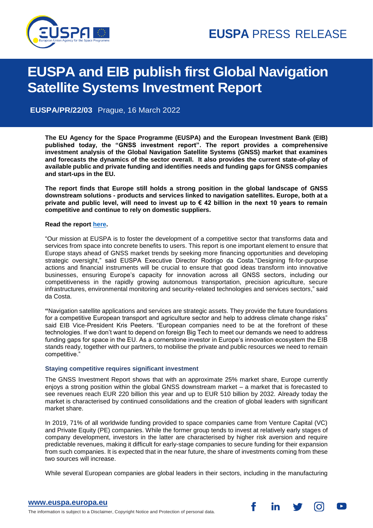

# g **EUSPA and EIB publish first Global Navigation Satellite Systems Investment Report**

**EUSPA/PR/22/03** Prague, 16 March 2022

**The EU Agency for the Space Programme (EUSPA) and the European Investment Bank (EIB) published today, the "GNSS investment report". The report provides a comprehensive investment analysis of the Global Navigation Satellite Systems (GNSS) market that examines and forecasts the dynamics of the sector overall. It also provides the current state-of-play of available public and private funding and identifies needs and funding gaps for GNSS companies and start-ups in the EU.**

**The report finds that Europe still holds a strong position in the global landscape of GNSS downstream solutions - products and services linked to navigation satellites. Europe, both at a private and public level, will need to invest up to € 42 billion in the next 10 years to remain competitive and continue to rely on domestic suppliers.**

## **Read the report [here.](https://www.euspa.europa.eu/sites/default/files/uploads/gnss_investment_report_2021.pdf)**

"Our mission at EUSPA is to foster the development of a competitive sector that transforms data and services from space into concrete benefits to users. This report is one important element to ensure that Europe stays ahead of GNSS market trends by seeking more financing opportunities and developing strategic oversight," said EUSPA Executive Director Rodrigo da Costa."Designing fit-for-purpose actions and financial instruments will be crucial to ensure that good ideas transform into innovative businesses, ensuring Europe's capacity for innovation across all GNSS sectors, including our competitiveness in the rapidly growing autonomous transportation, precision agriculture, secure infrastructures, environmental monitoring and security-related technologies and services sectors," said da Costa.

**"**Navigation satellite applications and services are strategic assets. They provide the future foundations for a competitive European transport and agriculture sector and help to address climate change risks" said EIB Vice-President Kris Peeters. "European companies need to be at the forefront of these technologies. If we don't want to depend on foreign Big Tech to meet our demands we need to address funding gaps for space in the EU. As a cornerstone investor in Europe's innovation ecosystem the EIB stands ready, together with our partners, to mobilise the private and public resources we need to remain competitive."

# **Staying competitive requires significant investment**

The GNSS Investment Report shows that with an approximate 25% market share, Europe currently enjoys a strong position within the global GNSS downstream market – a market that is forecasted to see revenues reach EUR 220 billion this year and up to EUR 510 billion by 2032. Already today the market is characterised by continued consolidations and the creation of global leaders with significant market share.

In 2019, 71% of all worldwide funding provided to space companies came from Venture Capital (VC) and Private Equity (PE) companies. While the former group tends to invest at relatively early stages of company development, investors in the latter are characterised by higher risk aversion and require predictable revenues, making it difficult for early-stage companies to secure funding for their expansion from such companies. It is expected that in the near future, the share of investments coming from these two sources will increase.

While several European companies are global leaders in their sectors, including in the manufacturing

f

in